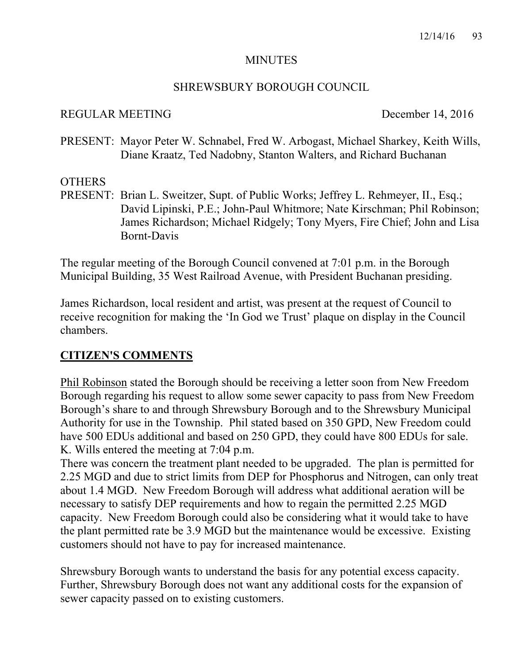#### MINUTES

#### SHREWSBURY BOROUGH COUNCIL

#### REGULAR MEETING December 14, 2016

PRESENT: Mayor Peter W. Schnabel, Fred W. Arbogast, Michael Sharkey, Keith Wills, Diane Kraatz, Ted Nadobny, Stanton Walters, and Richard Buchanan

#### **OTHERS**

PRESENT: Brian L. Sweitzer, Supt. of Public Works; Jeffrey L. Rehmeyer, II., Esq.; David Lipinski, P.E.; John-Paul Whitmore; Nate Kirschman; Phil Robinson; James Richardson; Michael Ridgely; Tony Myers, Fire Chief; John and Lisa Bornt-Davis

The regular meeting of the Borough Council convened at 7:01 p.m. in the Borough Municipal Building, 35 West Railroad Avenue, with President Buchanan presiding.

James Richardson, local resident and artist, was present at the request of Council to receive recognition for making the 'In God we Trust' plaque on display in the Council chambers.

# **CITIZEN'S COMMENTS**

Phil Robinson stated the Borough should be receiving a letter soon from New Freedom Borough regarding his request to allow some sewer capacity to pass from New Freedom Borough's share to and through Shrewsbury Borough and to the Shrewsbury Municipal Authority for use in the Township. Phil stated based on 350 GPD, New Freedom could have 500 EDUs additional and based on 250 GPD, they could have 800 EDUs for sale. K. Wills entered the meeting at 7:04 p.m.

There was concern the treatment plant needed to be upgraded. The plan is permitted for 2.25 MGD and due to strict limits from DEP for Phosphorus and Nitrogen, can only treat about 1.4 MGD. New Freedom Borough will address what additional aeration will be necessary to satisfy DEP requirements and how to regain the permitted 2.25 MGD capacity. New Freedom Borough could also be considering what it would take to have the plant permitted rate be 3.9 MGD but the maintenance would be excessive. Existing customers should not have to pay for increased maintenance.

Shrewsbury Borough wants to understand the basis for any potential excess capacity. Further, Shrewsbury Borough does not want any additional costs for the expansion of sewer capacity passed on to existing customers.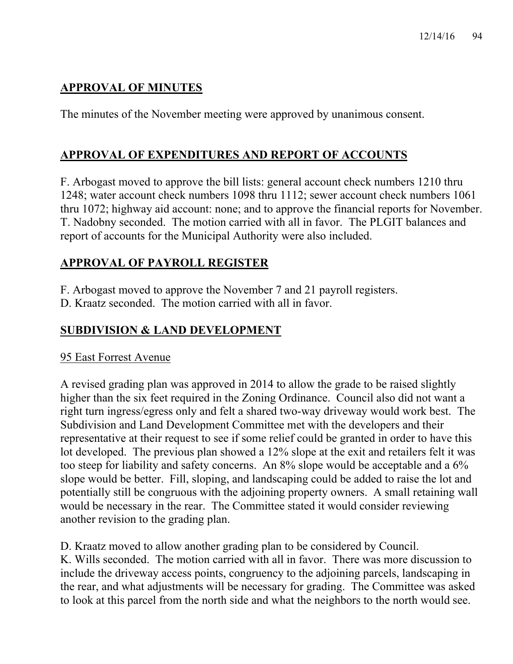# **APPROVAL OF MINUTES**

The minutes of the November meeting were approved by unanimous consent.

# **APPROVAL OF EXPENDITURES AND REPORT OF ACCOUNTS**

F. Arbogast moved to approve the bill lists: general account check numbers 1210 thru 1248; water account check numbers 1098 thru 1112; sewer account check numbers 1061 thru 1072; highway aid account: none; and to approve the financial reports for November. T. Nadobny seconded. The motion carried with all in favor. The PLGIT balances and report of accounts for the Municipal Authority were also included.

# **APPROVAL OF PAYROLL REGISTER**

F. Arbogast moved to approve the November 7 and 21 payroll registers.

D. Kraatz seconded. The motion carried with all in favor.

# **SUBDIVISION & LAND DEVELOPMENT**

# 95 East Forrest Avenue

A revised grading plan was approved in 2014 to allow the grade to be raised slightly higher than the six feet required in the Zoning Ordinance. Council also did not want a right turn ingress/egress only and felt a shared two-way driveway would work best. The Subdivision and Land Development Committee met with the developers and their representative at their request to see if some relief could be granted in order to have this lot developed. The previous plan showed a 12% slope at the exit and retailers felt it was too steep for liability and safety concerns. An 8% slope would be acceptable and a 6% slope would be better. Fill, sloping, and landscaping could be added to raise the lot and potentially still be congruous with the adjoining property owners. A small retaining wall would be necessary in the rear. The Committee stated it would consider reviewing another revision to the grading plan.

D. Kraatz moved to allow another grading plan to be considered by Council. K. Wills seconded. The motion carried with all in favor. There was more discussion to include the driveway access points, congruency to the adjoining parcels, landscaping in the rear, and what adjustments will be necessary for grading. The Committee was asked to look at this parcel from the north side and what the neighbors to the north would see.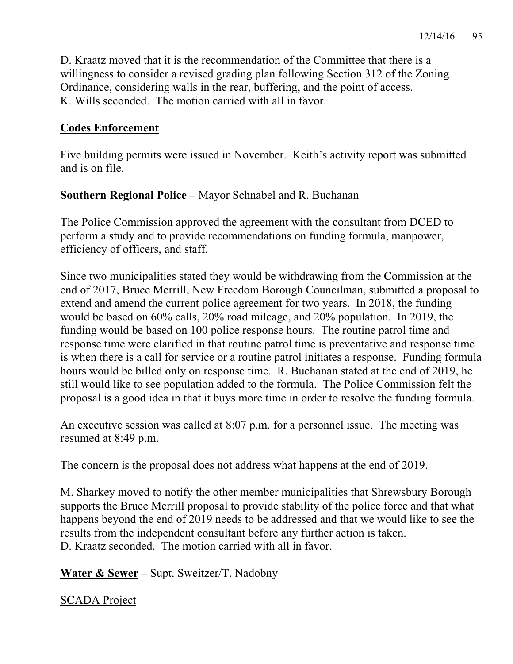D. Kraatz moved that it is the recommendation of the Committee that there is a willingness to consider a revised grading plan following Section 312 of the Zoning Ordinance, considering walls in the rear, buffering, and the point of access. K. Wills seconded. The motion carried with all in favor.

## **Codes Enforcement**

Five building permits were issued in November. Keith's activity report was submitted and is on file.

## **Southern Regional Police** – Mayor Schnabel and R. Buchanan

The Police Commission approved the agreement with the consultant from DCED to perform a study and to provide recommendations on funding formula, manpower, efficiency of officers, and staff.

Since two municipalities stated they would be withdrawing from the Commission at the end of 2017, Bruce Merrill, New Freedom Borough Councilman, submitted a proposal to extend and amend the current police agreement for two years. In 2018, the funding would be based on 60% calls, 20% road mileage, and 20% population. In 2019, the funding would be based on 100 police response hours. The routine patrol time and response time were clarified in that routine patrol time is preventative and response time is when there is a call for service or a routine patrol initiates a response. Funding formula hours would be billed only on response time. R. Buchanan stated at the end of 2019, he still would like to see population added to the formula. The Police Commission felt the proposal is a good idea in that it buys more time in order to resolve the funding formula.

An executive session was called at 8:07 p.m. for a personnel issue. The meeting was resumed at 8:49 p.m.

The concern is the proposal does not address what happens at the end of 2019.

M. Sharkey moved to notify the other member municipalities that Shrewsbury Borough supports the Bruce Merrill proposal to provide stability of the police force and that what happens beyond the end of 2019 needs to be addressed and that we would like to see the results from the independent consultant before any further action is taken. D. Kraatz seconded. The motion carried with all in favor.

**Water & Sewer** – Supt. Sweitzer/T. Nadobny

SCADA Project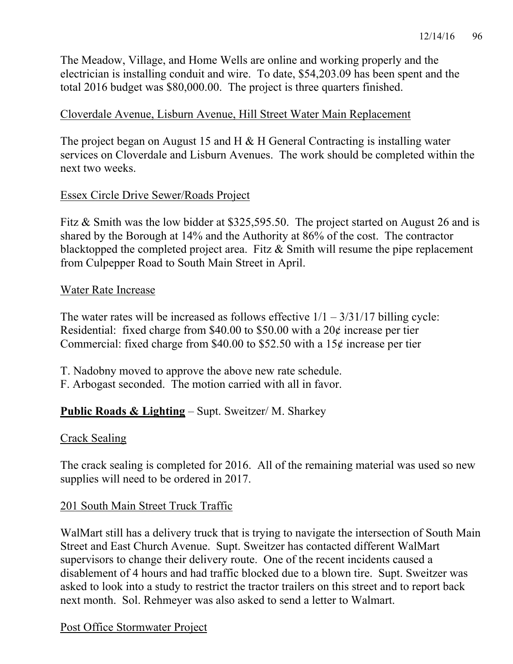The Meadow, Village, and Home Wells are online and working properly and the electrician is installing conduit and wire. To date, \$54,203.09 has been spent and the total 2016 budget was \$80,000.00. The project is three quarters finished.

### Cloverdale Avenue, Lisburn Avenue, Hill Street Water Main Replacement

The project began on August 15 and H & H General Contracting is installing water services on Cloverdale and Lisburn Avenues. The work should be completed within the next two weeks.

## Essex Circle Drive Sewer/Roads Project

Fitz & Smith was the low bidder at \$325,595.50. The project started on August 26 and is shared by the Borough at 14% and the Authority at 86% of the cost. The contractor blacktopped the completed project area. Fitz & Smith will resume the pipe replacement from Culpepper Road to South Main Street in April.

#### Water Rate Increase

The water rates will be increased as follows effective  $1/1 - 3/31/17$  billing cycle: Residential: fixed charge from \$40.00 to \$50.00 with a 20¢ increase per tier Commercial: fixed charge from \$40.00 to \$52.50 with a 15 $\phi$  increase per tier

- T. Nadobny moved to approve the above new rate schedule.
- F. Arbogast seconded. The motion carried with all in favor.

# **Public Roads & Lighting** – Supt. Sweitzer/ M. Sharkey

#### Crack Sealing

The crack sealing is completed for 2016. All of the remaining material was used so new supplies will need to be ordered in 2017.

#### 201 South Main Street Truck Traffic

WalMart still has a delivery truck that is trying to navigate the intersection of South Main Street and East Church Avenue. Supt. Sweitzer has contacted different WalMart supervisors to change their delivery route. One of the recent incidents caused a disablement of 4 hours and had traffic blocked due to a blown tire. Supt. Sweitzer was asked to look into a study to restrict the tractor trailers on this street and to report back next month. Sol. Rehmeyer was also asked to send a letter to Walmart.

#### Post Office Stormwater Project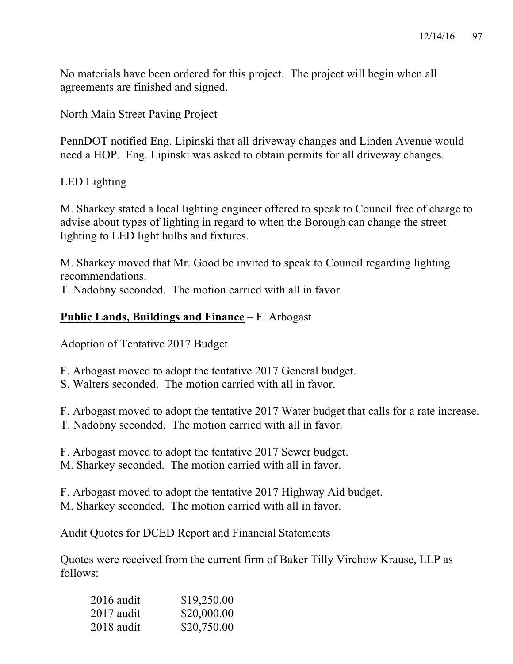No materials have been ordered for this project. The project will begin when all agreements are finished and signed.

#### North Main Street Paving Project

PennDOT notified Eng. Lipinski that all driveway changes and Linden Avenue would need a HOP. Eng. Lipinski was asked to obtain permits for all driveway changes.

#### LED Lighting

M. Sharkey stated a local lighting engineer offered to speak to Council free of charge to advise about types of lighting in regard to when the Borough can change the street lighting to LED light bulbs and fixtures.

M. Sharkey moved that Mr. Good be invited to speak to Council regarding lighting recommendations.

T. Nadobny seconded. The motion carried with all in favor.

# **Public Lands, Buildings and Finance** – F. Arbogast

Adoption of Tentative 2017 Budget

F. Arbogast moved to adopt the tentative 2017 General budget.

S. Walters seconded. The motion carried with all in favor.

F. Arbogast moved to adopt the tentative 2017 Water budget that calls for a rate increase. T. Nadobny seconded. The motion carried with all in favor.

F. Arbogast moved to adopt the tentative 2017 Sewer budget. M. Sharkey seconded. The motion carried with all in favor.

F. Arbogast moved to adopt the tentative 2017 Highway Aid budget. M. Sharkey seconded. The motion carried with all in favor.

# Audit Quotes for DCED Report and Financial Statements

Quotes were received from the current firm of Baker Tilly Virchow Krause, LLP as follows:

| $2016$ audit | \$19,250.00 |
|--------------|-------------|
| $2017$ audit | \$20,000.00 |
| 2018 audit   | \$20,750.00 |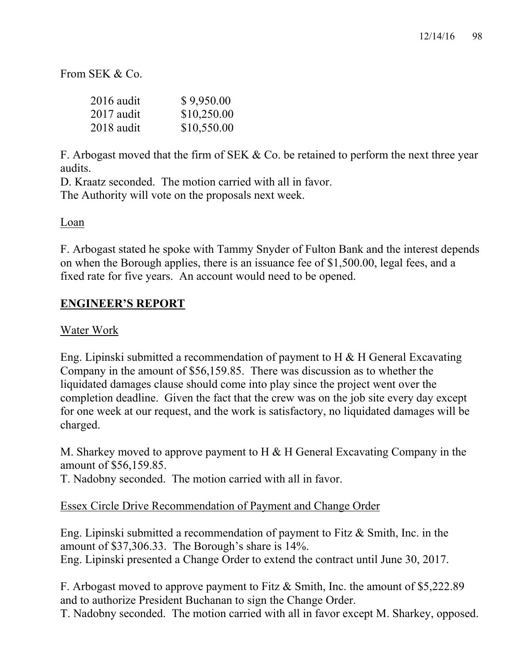From SEK  $&Co$ 

| $2016$ audit | \$9,950.00  |
|--------------|-------------|
| $2017$ audit | \$10,250.00 |
| $2018$ audit | \$10,550.00 |

F. Arbogast moved that the firm of SEK & Co. be retained to perform the next three year audits.

D. Kraatz seconded. The motion carried with all in favor. The Authority will vote on the proposals next week.

#### Loan

F. Arbogast stated he spoke with Tammy Snyder of Fulton Bank and the interest depends on when the Borough applies, there is an issuance fee of \$1,500.00, legal fees, and a fixed rate for five years. An account would need to be opened.

## **ENGINEER'S REPORT**

#### Water Work

Eng. Lipinski submitted a recommendation of payment to H & H General Excavating Company in the amount of \$56,159.85. There was discussion as to whether the liquidated damages clause should come into play since the project went over the completion deadline. Given the fact that the crew was on the job site every day except for one week at our request, and the work is satisfactory, no liquidated damages will be charged.

M. Sharkey moved to approve payment to H & H General Excavating Company in the amount of \$56,159.85.

T. Nadobny seconded. The motion carried with all in favor.

#### Essex Circle Drive Recommendation of Payment and Change Order

Eng. Lipinski submitted a recommendation of payment to Fitz & Smith, Inc. in the amount of \$37,306.33. The Borough's share is 14%. Eng. Lipinski presented a Change Order to extend the contract until June 30, 2017.

F. Arbogast moved to approve payment to Fitz & Smith, Inc. the amount of \$5,222.89 and to authorize President Buchanan to sign the Change Order.

T. Nadobny seconded. The motion carried with all in favor except M. Sharkey, opposed.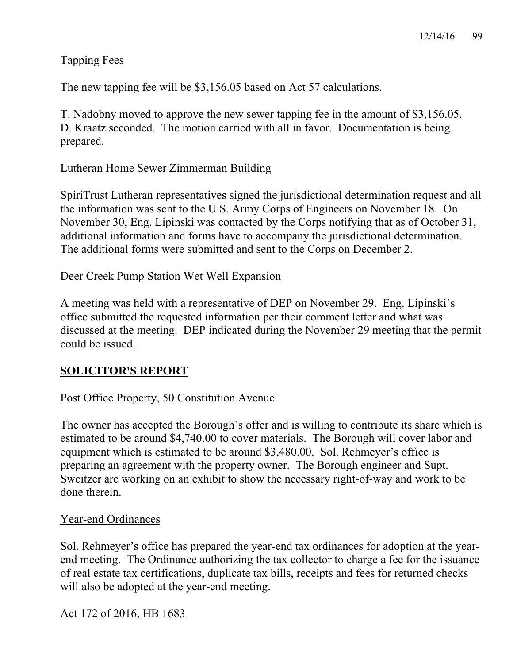# Tapping Fees

The new tapping fee will be \$3,156.05 based on Act 57 calculations.

T. Nadobny moved to approve the new sewer tapping fee in the amount of \$3,156.05. D. Kraatz seconded. The motion carried with all in favor. Documentation is being prepared.

## Lutheran Home Sewer Zimmerman Building

SpiriTrust Lutheran representatives signed the jurisdictional determination request and all the information was sent to the U.S. Army Corps of Engineers on November 18. On November 30, Eng. Lipinski was contacted by the Corps notifying that as of October 31, additional information and forms have to accompany the jurisdictional determination. The additional forms were submitted and sent to the Corps on December 2.

#### Deer Creek Pump Station Wet Well Expansion

A meeting was held with a representative of DEP on November 29. Eng. Lipinski's office submitted the requested information per their comment letter and what was discussed at the meeting. DEP indicated during the November 29 meeting that the permit could be issued.

# **SOLICITOR'S REPORT**

# Post Office Property, 50 Constitution Avenue

The owner has accepted the Borough's offer and is willing to contribute its share which is estimated to be around \$4,740.00 to cover materials. The Borough will cover labor and equipment which is estimated to be around \$3,480.00. Sol. Rehmeyer's office is preparing an agreement with the property owner. The Borough engineer and Supt. Sweitzer are working on an exhibit to show the necessary right-of-way and work to be done therein.

#### Year-end Ordinances

Sol. Rehmeyer's office has prepared the year-end tax ordinances for adoption at the yearend meeting. The Ordinance authorizing the tax collector to charge a fee for the issuance of real estate tax certifications, duplicate tax bills, receipts and fees for returned checks will also be adopted at the year-end meeting.

#### Act 172 of 2016, HB 1683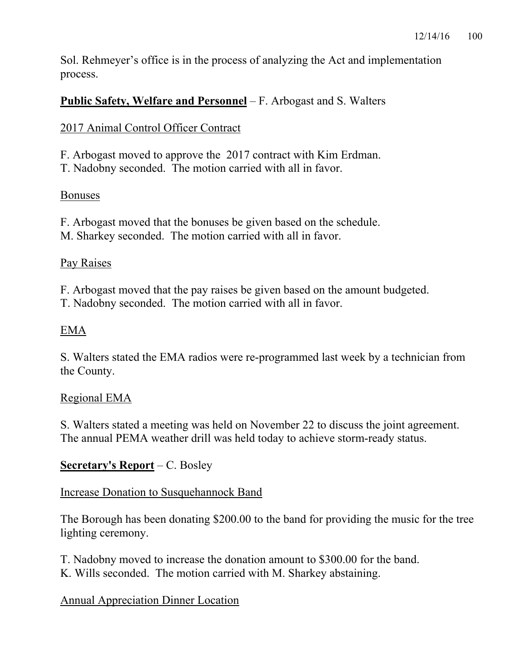Sol. Rehmeyer's office is in the process of analyzing the Act and implementation process.

# **Public Safety, Welfare and Personnel** – F. Arbogast and S. Walters

## 2017 Animal Control Officer Contract

F. Arbogast moved to approve the 2017 contract with Kim Erdman.

T. Nadobny seconded. The motion carried with all in favor.

#### **Bonuses**

F. Arbogast moved that the bonuses be given based on the schedule. M. Sharkey seconded. The motion carried with all in favor.

## Pay Raises

F. Arbogast moved that the pay raises be given based on the amount budgeted. T. Nadobny seconded. The motion carried with all in favor.

## EMA

S. Walters stated the EMA radios were re-programmed last week by a technician from the County.

#### Regional EMA

S. Walters stated a meeting was held on November 22 to discuss the joint agreement. The annual PEMA weather drill was held today to achieve storm-ready status.

#### **Secretary's Report** – C. Bosley

#### Increase Donation to Susquehannock Band

The Borough has been donating \$200.00 to the band for providing the music for the tree lighting ceremony.

T. Nadobny moved to increase the donation amount to \$300.00 for the band. K. Wills seconded. The motion carried with M. Sharkey abstaining.

#### Annual Appreciation Dinner Location